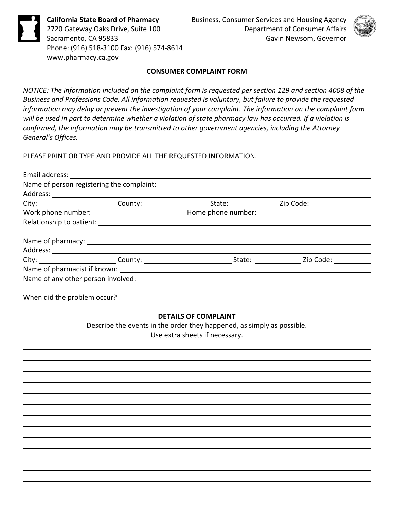**California State Board of Pharmacy** 2720 Gateway Oaks Drive, Suite 100 Sacramento, CA 95833 Phone: (916) 518-3100 Fax: (916) 574-8614 www.pharmacy.ca.gov

 $\overline{\phantom{0}}$ 

Business, Consumer Services and Housing Agency Department of Consumer Affairs Gavin Newsom, Governor



## **CONSUMER COMPLAINT FORM**

*NOTICE: The information included on the complaint form is requested per section 129 and section 4008 of the Business and Professions Code. All information requested is voluntary, but failure to provide the requested information may delay or prevent the investigation of your complaint. The information on the complaint form will be used in part to determine whether a violation of state pharmacy law has occurred. If a violation is confirmed, the information may be transmitted to other government agencies, including the Attorney General's Offices.*

PLEASE PRINT OR TYPE AND PROVIDE ALL THE REQUESTED INFORMATION.

|                             | Name of person registering the complaint: |  |                                   |  |  |
|-----------------------------|-------------------------------------------|--|-----------------------------------|--|--|
|                             |                                           |  |                                   |  |  |
|                             | City: City: County: County:               |  | State: <u>Zip Code:</u> Zip Code: |  |  |
|                             |                                           |  |                                   |  |  |
|                             |                                           |  |                                   |  |  |
|                             |                                           |  |                                   |  |  |
|                             |                                           |  |                                   |  |  |
|                             |                                           |  |                                   |  |  |
|                             | Name of any other person involved:        |  |                                   |  |  |
| When did the problem occur? |                                           |  |                                   |  |  |

## **DETAILS OF COMPLAINT**

Describe the events in the order they happened, as simply as possible. Use extra sheets if necessary.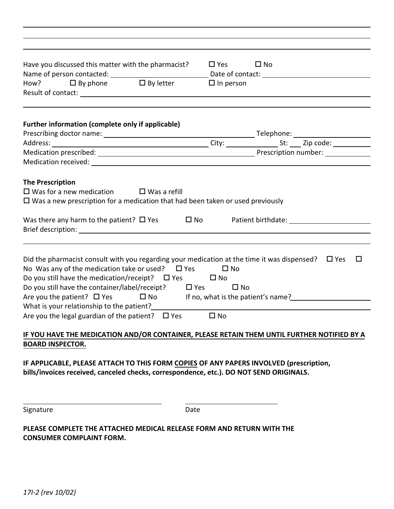| Have you discussed this matter with the pharmacist?                                                                                                                                                                            | $\Box$ Yes $\Box$ No |        |  |
|--------------------------------------------------------------------------------------------------------------------------------------------------------------------------------------------------------------------------------|----------------------|--------|--|
|                                                                                                                                                                                                                                |                      |        |  |
| How? $\Box$ By phone $\Box$ By letter                                                                                                                                                                                          | $\Box$ In person     |        |  |
|                                                                                                                                                                                                                                |                      |        |  |
|                                                                                                                                                                                                                                |                      |        |  |
|                                                                                                                                                                                                                                |                      |        |  |
| Further information (complete only if applicable)                                                                                                                                                                              |                      |        |  |
|                                                                                                                                                                                                                                |                      |        |  |
|                                                                                                                                                                                                                                |                      |        |  |
|                                                                                                                                                                                                                                |                      |        |  |
| Medication received: Law and the contract of the contract of the contract of the contract of the contract of the contract of the contract of the contract of the contract of the contract of the contract of the contract of t |                      |        |  |
|                                                                                                                                                                                                                                |                      |        |  |
| <b>The Prescription</b>                                                                                                                                                                                                        |                      |        |  |
| $\Box$ Was for a new medication $\Box$ Was a refill                                                                                                                                                                            |                      |        |  |
| $\Box$ Was a new prescription for a medication that had been taken or used previously                                                                                                                                          |                      |        |  |
| Was there any harm to the patient? $\square$ Yes $\square$ No Patient birthdate:<br>Brief description: Note that the set of the set of the set of the set of the set of the set of the set of the                              |                      |        |  |
|                                                                                                                                                                                                                                |                      |        |  |
|                                                                                                                                                                                                                                |                      |        |  |
| Did the pharmacist consult with you regarding your medication at the time it was dispensed? $\Box$ Yes                                                                                                                         |                      | $\Box$ |  |
| No Was any of the medication take or used? $\Box$ Yes                                                                                                                                                                          | $\square$ No         |        |  |
| Do you still have the medication/receipt? $\Box$ Yes $\Box$ No                                                                                                                                                                 |                      |        |  |
| Do you still have the container/label/receipt? $\Box$ Yes $\Box$ No                                                                                                                                                            |                      |        |  |
| Are you the patient? $\Box$ Yes $\Box$ No If no, what is the patient's name?                                                                                                                                                   |                      |        |  |
| What is your relationship to the patient?<br><u> What is your relationship to the patient?</u>                                                                                                                                 |                      |        |  |
| Are you the legal guardian of the patient? $\Box$ Yes                                                                                                                                                                          | $\square$ No         |        |  |
|                                                                                                                                                                                                                                |                      |        |  |
| IF YOU HAVE THE MEDICATION AND/OR CONTAINER, PLEASE RETAIN THEM UNTIL FURTHER NOTIFIED BY A                                                                                                                                    |                      |        |  |
| <b>BOARD INSPECTOR.</b>                                                                                                                                                                                                        |                      |        |  |
|                                                                                                                                                                                                                                |                      |        |  |
| IF APPLICABLE, PLEASE ATTACH TO THIS FORM COPIES OF ANY PAPERS INVOLVED (prescription,                                                                                                                                         |                      |        |  |
| bills/invoices received, canceled checks, correspondence, etc.). DO NOT SEND ORIGINALS.                                                                                                                                        |                      |        |  |
|                                                                                                                                                                                                                                |                      |        |  |
|                                                                                                                                                                                                                                |                      |        |  |

Signature Date

**PLEASE COMPLETE THE ATTACHED MEDICAL RELEASE FORM AND RETURN WITH THE CONSUMER COMPLAINT FORM.**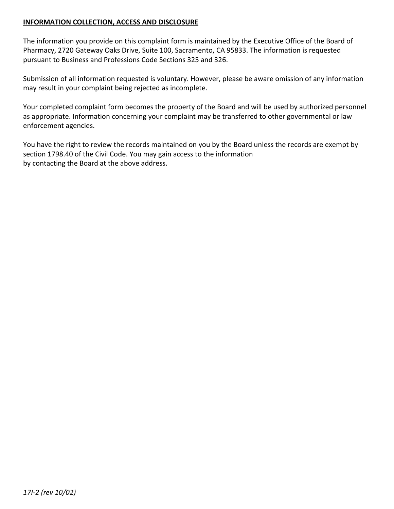## **INFORMATION COLLECTION, ACCESS AND DISCLOSURE**

The information you provide on this complaint form is maintained by the Executive Office of the Board of Pharmacy, 2720 Gateway Oaks Drive, Suite 100, Sacramento, CA 95833. The information is requested pursuant to Business and Professions Code Sections 325 and 326.

Submission of all information requested is voluntary. However, please be aware omission of any information may result in your complaint being rejected as incomplete.

Your completed complaint form becomes the property of the Board and will be used by authorized personnel as appropriate. Information concerning your complaint may be transferred to other governmental or law enforcement agencies.

You have the right to review the records maintained on you by the Board unless the records are exempt by section 1798.40 of the Civil Code. You may gain access to the information by contacting the Board at the above address.